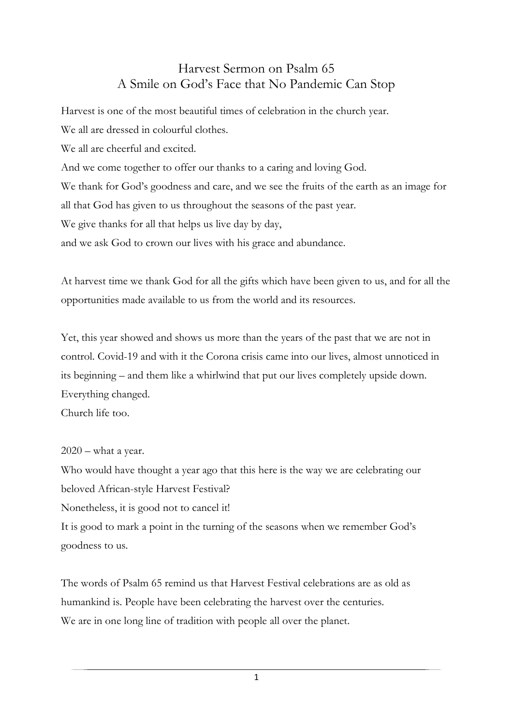## Harvest Sermon on Psalm 65 A Smile on God's Face that No Pandemic Can Stop

Harvest is one of the most beautiful times of celebration in the church year.

We all are dressed in colourful clothes.

We all are cheerful and excited.

And we come together to offer our thanks to a caring and loving God.

We thank for God's goodness and care, and we see the fruits of the earth as an image for all that God has given to us throughout the seasons of the past year.

We give thanks for all that helps us live day by day,

and we ask God to crown our lives with his grace and abundance.

At harvest time we thank God for all the gifts which have been given to us, and for all the opportunities made available to us from the world and its resources.

Yet, this year showed and shows us more than the years of the past that we are not in control. Covid-19 and with it the Corona crisis came into our lives, almost unnoticed in its beginning – and them like a whirlwind that put our lives completely upside down. Everything changed.

Church life too.

## $2020$  – what a year.

Who would have thought a year ago that this here is the way we are celebrating our beloved African-style Harvest Festival? Nonetheless, it is good not to cancel it!

It is good to mark a point in the turning of the seasons when we remember God's goodness to us.

The words of Psalm 65 remind us that Harvest Festival celebrations are as old as humankind is. People have been celebrating the harvest over the centuries. We are in one long line of tradition with people all over the planet.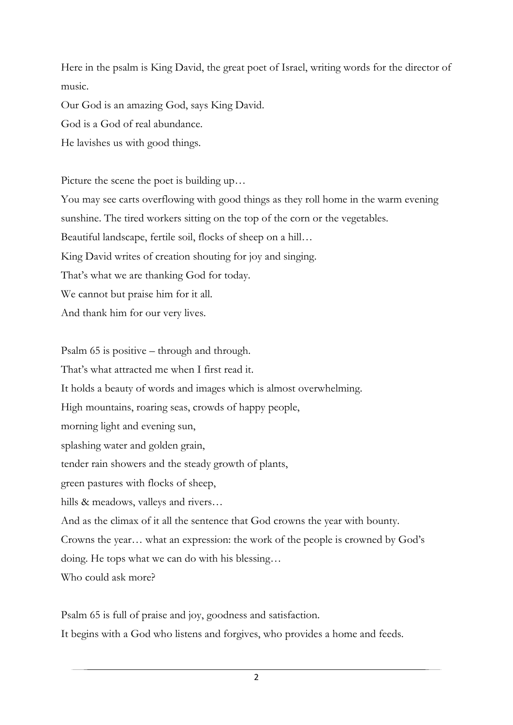Here in the psalm is King David, the great poet of Israel, writing words for the director of music.

Our God is an amazing God, says King David.

God is a God of real abundance.

He lavishes us with good things.

Picture the scene the poet is building up…

You may see carts overflowing with good things as they roll home in the warm evening

sunshine. The tired workers sitting on the top of the corn or the vegetables.

Beautiful landscape, fertile soil, flocks of sheep on a hill…

King David writes of creation shouting for joy and singing.

That's what we are thanking God for today.

We cannot but praise him for it all.

And thank him for our very lives.

Psalm 65 is positive – through and through.

That's what attracted me when I first read it.

It holds a beauty of words and images which is almost overwhelming.

High mountains, roaring seas, crowds of happy people,

morning light and evening sun,

splashing water and golden grain,

tender rain showers and the steady growth of plants,

green pastures with flocks of sheep,

hills & meadows, valleys and rivers...

And as the climax of it all the sentence that God crowns the year with bounty.

Crowns the year… what an expression: the work of the people is crowned by God's

doing. He tops what we can do with his blessing…

Who could ask more?

Psalm 65 is full of praise and joy, goodness and satisfaction. It begins with a God who listens and forgives, who provides a home and feeds.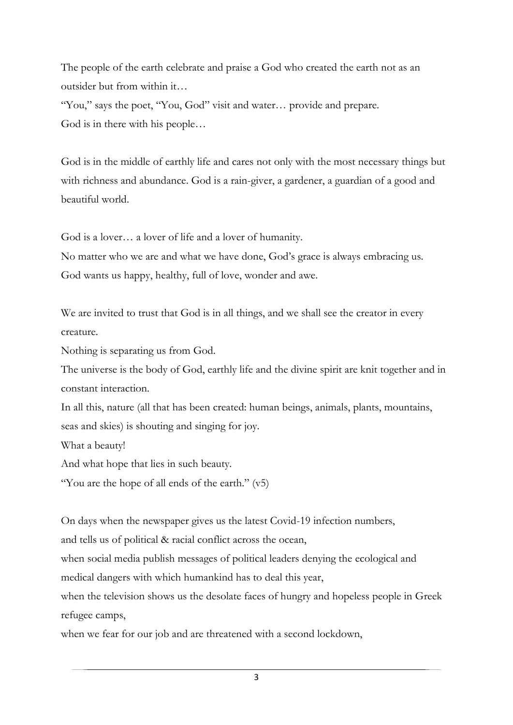The people of the earth celebrate and praise a God who created the earth not as an outsider but from within it…

"You," says the poet, "You, God" visit and water... provide and prepare. God is in there with his people…

God is in the middle of earthly life and cares not only with the most necessary things but with richness and abundance. God is a rain-giver, a gardener, a guardian of a good and beautiful world.

God is a lover… a lover of life and a lover of humanity.

No matter who we are and what we have done, God's grace is always embracing us. God wants us happy, healthy, full of love, wonder and awe.

We are invited to trust that God is in all things, and we shall see the creator in every creature.

Nothing is separating us from God.

The universe is the body of God, earthly life and the divine spirit are knit together and in constant interaction.

In all this, nature (all that has been created: human beings, animals, plants, mountains, seas and skies) is shouting and singing for joy.

What a beauty!

And what hope that lies in such beauty.

"You are the hope of all ends of the earth." (v5)

On days when the newspaper gives us the latest Covid-19 infection numbers,

and tells us of political & racial conflict across the ocean,

when social media publish messages of political leaders denying the ecological and

medical dangers with which humankind has to deal this year,

when the television shows us the desolate faces of hungry and hopeless people in Greek refugee camps,

when we fear for our job and are threatened with a second lockdown,